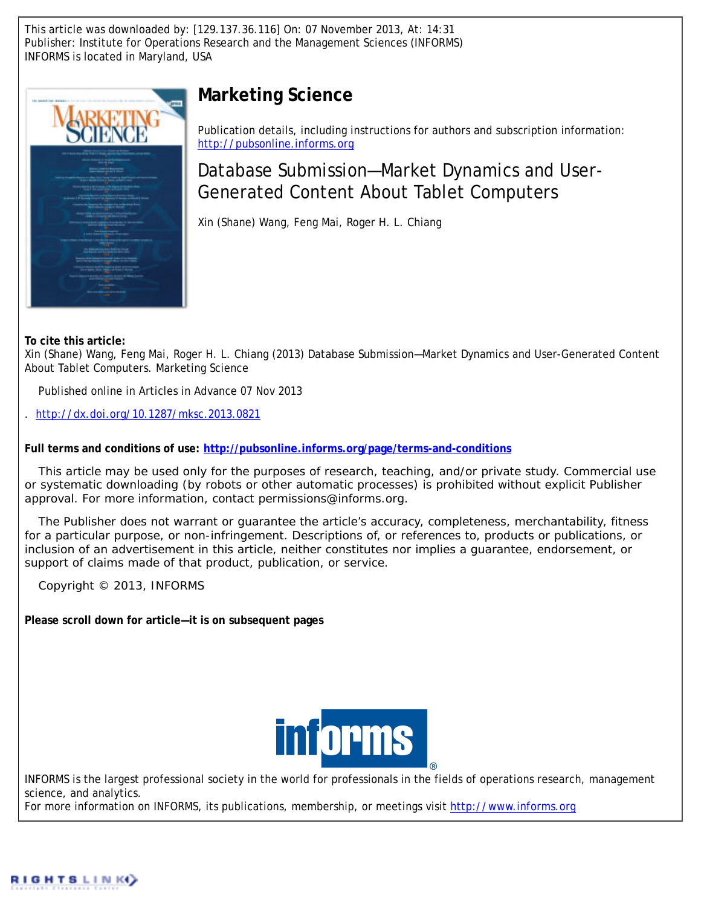This article was downloaded by: [129.137.36.116] On: 07 November 2013, At: 14:31 Publisher: Institute for Operations Research and the Management Sciences (INFORMS) INFORMS is located in Maryland, USA



# **Marketing Science**

Publication details, including instructions for authors and subscription information: <http://pubsonline.informs.org>

Database Submission—Market Dynamics and User-Generated Content About Tablet Computers

Xin (Shane) Wang, Feng Mai, Roger H. L. Chiang

**To cite this article:**

Xin (Shane) Wang, Feng Mai, Roger H. L. Chiang (2013) Database Submission—Market Dynamics and User-Generated Content About Tablet Computers. Marketing Science

Published online in Articles in Advance 07 Nov 2013

. <http://dx.doi.org/10.1287/mksc.2013.0821>

**Full terms and conditions of use: <http://pubsonline.informs.org/page/terms-and-conditions>**

This article may be used only for the purposes of research, teaching, and/or private study. Commercial use or systematic downloading (by robots or other automatic processes) is prohibited without explicit Publisher approval. For more information, contact permissions@informs.org.

The Publisher does not warrant or guarantee the article's accuracy, completeness, merchantability, fitness for a particular purpose, or non-infringement. Descriptions of, or references to, products or publications, or inclusion of an advertisement in this article, neither constitutes nor implies a guarantee, endorsement, or support of claims made of that product, publication, or service.

Copyright © 2013, INFORMS

**Please scroll down for article—it is on subsequent pages**



INFORMS is the largest professional society in the world for professionals in the fields of operations research, management science, and analytics.

For more information on INFORMS, its publications, membership, or meetings visit <http://www.informs.org>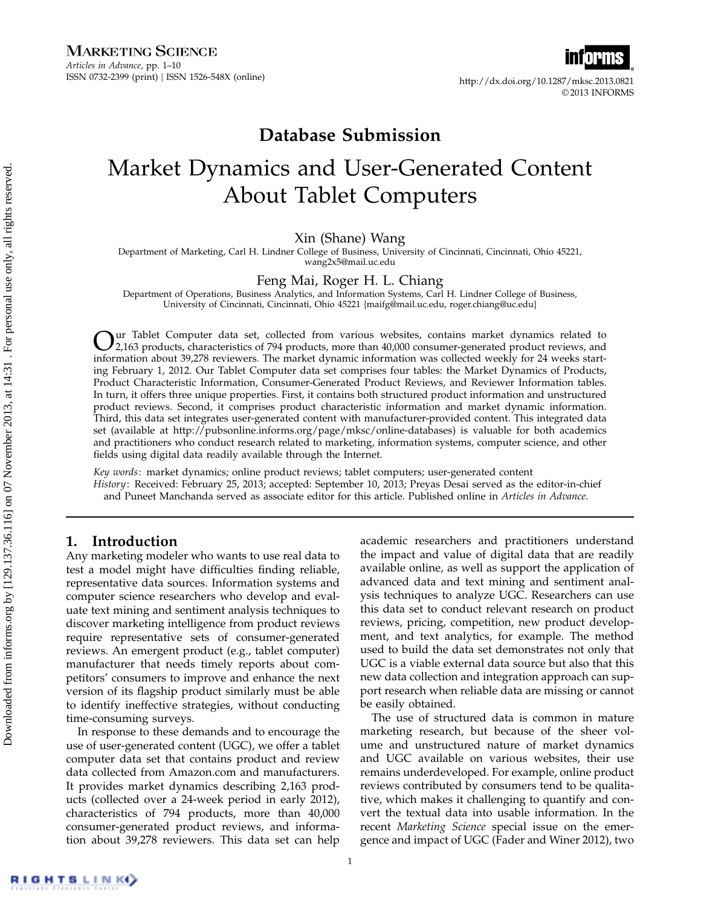http://dx.doi.org/10.1287/mksc.2013.0821 © 2013 INFORMS

## Database Submission

# Market Dynamics and User-Generated Content About Tablet Computers

## Xin (Shane) Wang

Department of Marketing, Carl H. Lindner College of Business, University of Cincinnati, Cincinnati, Ohio 45221, wang2x5@mail.uc.edu

## Feng Mai, Roger H. L. Chiang

Department of Operations, Business Analytics, and Information Systems, Carl H. Lindner College of Business, University of Cincinnati, Cincinnati, Ohio 45221 {maifg@mail.uc.edu, roger.chiang@uc.edu}

 $\sum_{2,163}$  products, characteristics of 794 products, more than 40,000 consumer-generated product reviews, and<br>information about 20.279 meteorem. The marghet demonstration formation and allocated speeds for 24 meteoreted 2,163 products, characteristics of 794 products, more than 40,000 consumer-generated product reviews, and information about 39,278 reviewers. The market dynamic information was collected weekly for 24 weeks starting February 1, 2012. Our Tablet Computer data set comprises four tables: the Market Dynamics of Products, Product Characteristic Information, Consumer-Generated Product Reviews, and Reviewer Information tables. In turn, it offers three unique properties. First, it contains both structured product information and unstructured product reviews. Second, it comprises product characteristic information and market dynamic information. Third, this data set integrates user-generated content with manufacturer-provided content. This integrated data set (available at http://pubsonline.informs.org/page/mksc/online-databases) is valuable for both academics and practitioners who conduct research related to marketing, information systems, computer science, and other fields using digital data readily available through the Internet.

Key words: market dynamics; online product reviews; tablet computers; user-generated content History: Received: February 25, 2013; accepted: September 10, 2013; Preyas Desai served as the editor-in-chief and Puneet Manchanda served as associate editor for this article. Published online in Articles in Advance.

## 1. Introduction

Any marketing modeler who wants to use real data to test a model might have difficulties finding reliable, representative data sources. Information systems and computer science researchers who develop and evaluate text mining and sentiment analysis techniques to discover marketing intelligence from product reviews require representative sets of consumer-generated reviews. An emergent product (e.g., tablet computer) manufacturer that needs timely reports about competitors' consumers to improve and enhance the next version of its flagship product similarly must be able to identify ineffective strategies, without conducting time-consuming surveys.

In response to these demands and to encourage the use of user-generated content (UGC), we offer a tablet computer data set that contains product and review data collected from Amazon.com and manufacturers. It provides market dynamics describing 2,163 products (collected over a 24-week period in early 2012), characteristics of 794 products, more than 40,000 consumer-generated product reviews, and information about 39,278 reviewers. This data set can help academic researchers and practitioners understand the impact and value of digital data that are readily available online, as well as support the application of advanced data and text mining and sentiment analysis techniques to analyze UGC. Researchers can use this data set to conduct relevant research on product reviews, pricing, competition, new product development, and text analytics, for example. The method used to build the data set demonstrates not only that UGC is a viable external data source but also that this new data collection and integration approach can support research when reliable data are missing or cannot be easily obtained.

The use of structured data is common in mature marketing research, but because of the sheer volume and unstructured nature of market dynamics and UGC available on various websites, their use remains underdeveloped. For example, online product reviews contributed by consumers tend to be qualitative, which makes it challenging to quantify and convert the textual data into usable information. In the recent Marketing Science special issue on the emergence and impact of UGC (Fader and Winer 2012), two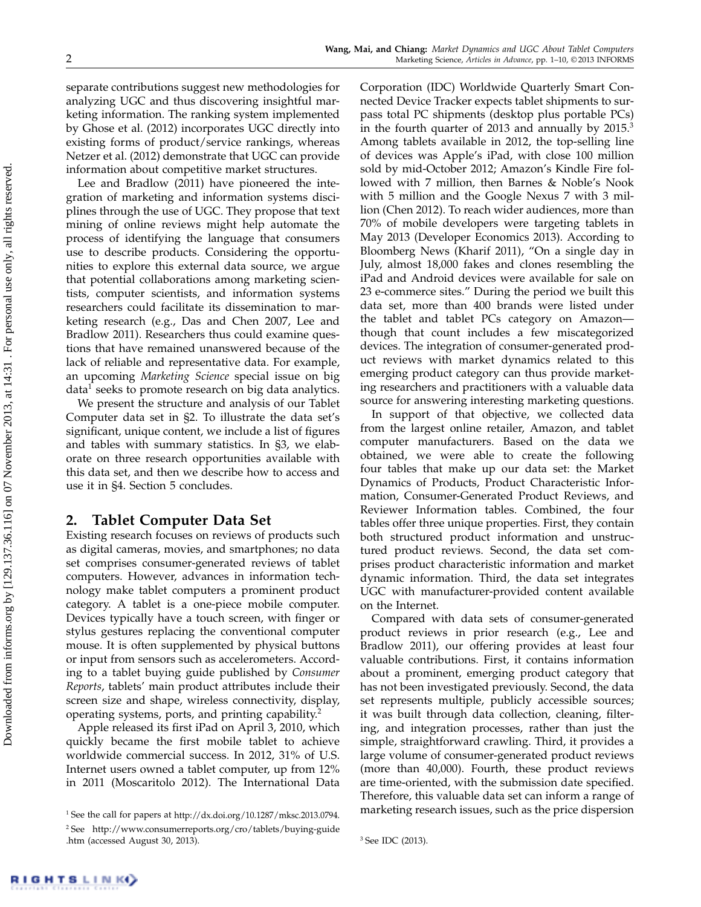separate contributions suggest new methodologies for analyzing UGC and thus discovering insightful marketing information. The ranking system implemented by Ghose et al. (2012) incorporates UGC directly into existing forms of product/service rankings, whereas Netzer et al. (2012) demonstrate that UGC can provide information about competitive market structures.

Lee and Bradlow (2011) have pioneered the integration of marketing and information systems disciplines through the use of UGC. They propose that text mining of online reviews might help automate the process of identifying the language that consumers use to describe products. Considering the opportunities to explore this external data source, we argue that potential collaborations among marketing scientists, computer scientists, and information systems researchers could facilitate its dissemination to marketing research (e.g., Das and Chen 2007, Lee and Bradlow 2011). Researchers thus could examine questions that have remained unanswered because of the lack of reliable and representative data. For example, an upcoming Marketing Science special issue on big data $^1$  seeks to promote research on big data analytics.

We present the structure and analysis of our Tablet Computer data set in §2. To illustrate the data set's significant, unique content, we include a list of figures and tables with summary statistics. In §3, we elaborate on three research opportunities available with this data set, and then we describe how to access and use it in §4. Section 5 concludes.

## 2. Tablet Computer Data Set

Existing research focuses on reviews of products such as digital cameras, movies, and smartphones; no data set comprises consumer-generated reviews of tablet computers. However, advances in information technology make tablet computers a prominent product category. A tablet is a one-piece mobile computer. Devices typically have a touch screen, with finger or stylus gestures replacing the conventional computer mouse. It is often supplemented by physical buttons or input from sensors such as accelerometers. According to a tablet buying guide published by Consumer Reports, tablets' main product attributes include their screen size and shape, wireless connectivity, display, operating systems, ports, and printing capability.<sup>2</sup>

Apple released its first iPad on April 3, 2010, which quickly became the first mobile tablet to achieve worldwide commercial success. In 2012, 31% of U.S. Internet users owned a tablet computer, up from 12% in 2011 (Moscaritolo 2012). The International Data

Corporation (IDC) Worldwide Quarterly Smart Connected Device Tracker expects tablet shipments to surpass total PC shipments (desktop plus portable PCs) in the fourth quarter of 2013 and annually by  $2015<sup>3</sup>$ Among tablets available in 2012, the top-selling line of devices was Apple's iPad, with close 100 million sold by mid-October 2012; Amazon's Kindle Fire followed with 7 million, then Barnes & Noble's Nook with 5 million and the Google Nexus 7 with 3 million (Chen 2012). To reach wider audiences, more than 70% of mobile developers were targeting tablets in May 2013 (Developer Economics 2013). According to Bloomberg News (Kharif 2011), "On a single day in July, almost 18,000 fakes and clones resembling the iPad and Android devices were available for sale on 23 e-commerce sites." During the period we built this data set, more than 400 brands were listed under the tablet and tablet PCs category on Amazon though that count includes a few miscategorized devices. The integration of consumer-generated product reviews with market dynamics related to this emerging product category can thus provide marketing researchers and practitioners with a valuable data source for answering interesting marketing questions.

In support of that objective, we collected data from the largest online retailer, Amazon, and tablet computer manufacturers. Based on the data we obtained, we were able to create the following four tables that make up our data set: the Market Dynamics of Products, Product Characteristic Information, Consumer-Generated Product Reviews, and Reviewer Information tables. Combined, the four tables offer three unique properties. First, they contain both structured product information and unstructured product reviews. Second, the data set comprises product characteristic information and market dynamic information. Third, the data set integrates UGC with manufacturer-provided content available on the Internet.

Compared with data sets of consumer-generated product reviews in prior research (e.g., Lee and Bradlow 2011), our offering provides at least four valuable contributions. First, it contains information about a prominent, emerging product category that has not been investigated previously. Second, the data set represents multiple, publicly accessible sources; it was built through data collection, cleaning, filtering, and integration processes, rather than just the simple, straightforward crawling. Third, it provides a large volume of consumer-generated product reviews (more than 40,000). Fourth, these product reviews are time-oriented, with the submission date specified. Therefore, this valuable data set can inform a range of marketing research issues, such as the price dispersion

<sup>&</sup>lt;sup>1</sup> See the call for papers at http://dx.doi.org/10.1287/mksc.2013.0794. <sup>2</sup> See http://www.consumerreports.org/cro/tablets/buying-guide .htm (accessed August 30, 2013).

<sup>3</sup> See IDC (2013).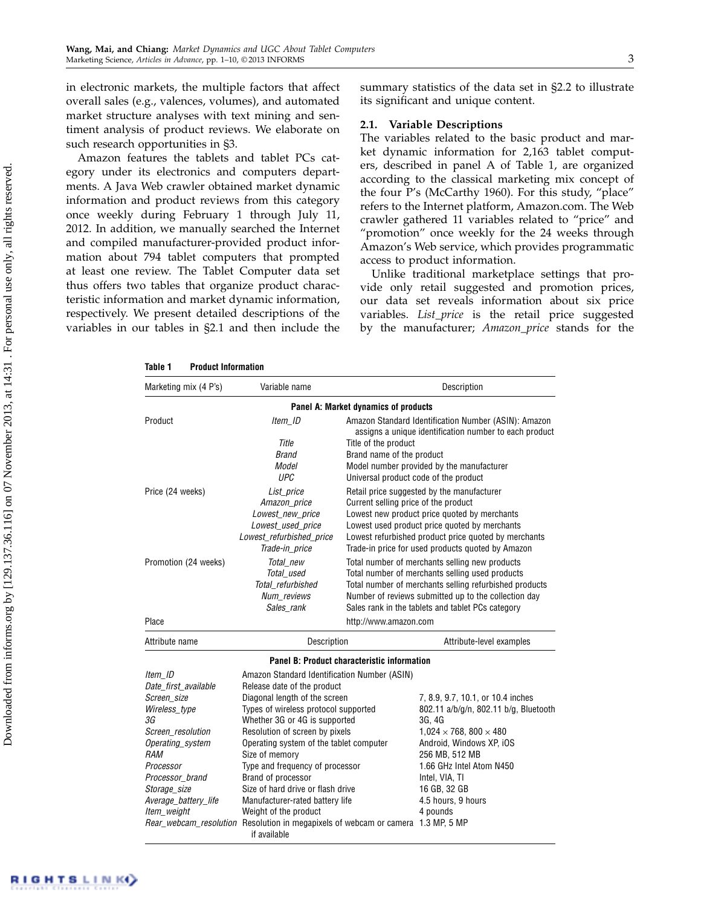in electronic markets, the multiple factors that affect overall sales (e.g., valences, volumes), and automated market structure analyses with text mining and sentiment analysis of product reviews. We elaborate on such research opportunities in §3.

Amazon features the tablets and tablet PCs category under its electronics and computers departments. A Java Web crawler obtained market dynamic information and product reviews from this category once weekly during February 1 through July 11, 2012. In addition, we manually searched the Internet and compiled manufacturer-provided product information about 794 tablet computers that prompted at least one review. The Tablet Computer data set thus offers two tables that organize product characteristic information and market dynamic information, respectively. We present detailed descriptions of the variables in our tables in §2.1 and then include the summary statistics of the data set in §2.2 to illustrate its significant and unique content.

#### 2.1. Variable Descriptions

The variables related to the basic product and market dynamic information for 2,163 tablet computers, described in panel A of Table 1, are organized according to the classical marketing mix concept of the four P's (McCarthy 1960). For this study, "place" refers to the Internet platform, Amazon.com. The Web crawler gathered 11 variables related to "price" and "promotion" once weekly for the 24 weeks through Amazon's Web service, which provides programmatic access to product information.

Unlike traditional marketplace settings that provide only retail suggested and promotion prices, our data set reveals information about six price variables. List\_price is the retail price suggested by the manufacturer; Amazon\_price stands for the

| Marketing mix (4 P's)                                                                                                                                             | Variable name                                                                                                                                                                                                                                                                                                                          |                                                                                                                                                                                                                                                                                                  | Description                                                                                                                                                                                                                                                     |  |  |
|-------------------------------------------------------------------------------------------------------------------------------------------------------------------|----------------------------------------------------------------------------------------------------------------------------------------------------------------------------------------------------------------------------------------------------------------------------------------------------------------------------------------|--------------------------------------------------------------------------------------------------------------------------------------------------------------------------------------------------------------------------------------------------------------------------------------------------|-----------------------------------------------------------------------------------------------------------------------------------------------------------------------------------------------------------------------------------------------------------------|--|--|
|                                                                                                                                                                   |                                                                                                                                                                                                                                                                                                                                        | Panel A: Market dynamics of products                                                                                                                                                                                                                                                             |                                                                                                                                                                                                                                                                 |  |  |
| Product                                                                                                                                                           | Item ID<br>Title<br><b>Brand</b><br>Model<br><b>UPC</b>                                                                                                                                                                                                                                                                                | Title of the product<br>Brand name of the product<br>Universal product code of the product                                                                                                                                                                                                       | Amazon Standard Identification Number (ASIN): Amazon<br>assigns a unique identification number to each product<br>Model number provided by the manufacturer                                                                                                     |  |  |
| Price (24 weeks)                                                                                                                                                  | List price<br>Amazon_price<br>Lowest_new_price<br>Lowest used price<br>Lowest refurbished price<br>Trade-in_price                                                                                                                                                                                                                      | Retail price suggested by the manufacturer<br>Current selling price of the product<br>Lowest new product price quoted by merchants<br>Lowest used product price quoted by merchants<br>Lowest refurbished product price quoted by merchants<br>Trade-in price for used products quoted by Amazon |                                                                                                                                                                                                                                                                 |  |  |
| Promotion (24 weeks)                                                                                                                                              | Total new<br>Total used<br>Total refurbished<br>Num_reviews<br>Sales rank                                                                                                                                                                                                                                                              | Total number of merchants selling new products<br>Total number of merchants selling used products<br>Total number of merchants selling refurbished products<br>Number of reviews submitted up to the collection day<br>Sales rank in the tablets and tablet PCs category                         |                                                                                                                                                                                                                                                                 |  |  |
| Place                                                                                                                                                             |                                                                                                                                                                                                                                                                                                                                        | http://www.amazon.com                                                                                                                                                                                                                                                                            |                                                                                                                                                                                                                                                                 |  |  |
| Attribute name                                                                                                                                                    | Description                                                                                                                                                                                                                                                                                                                            |                                                                                                                                                                                                                                                                                                  | Attribute-level examples                                                                                                                                                                                                                                        |  |  |
|                                                                                                                                                                   |                                                                                                                                                                                                                                                                                                                                        | Panel B: Product characteristic information                                                                                                                                                                                                                                                      |                                                                                                                                                                                                                                                                 |  |  |
| Item ID<br>Date first available                                                                                                                                   | Amazon Standard Identification Number (ASIN)<br>Release date of the product                                                                                                                                                                                                                                                            |                                                                                                                                                                                                                                                                                                  |                                                                                                                                                                                                                                                                 |  |  |
| Screen_size<br>Wireless_type<br>3G<br>Screen resolution<br>Operating_system<br><b>RAM</b><br>Processor<br>Processor brand<br>Storage_size<br>Average_battery_life | Diagonal length of the screen<br>Types of wireless protocol supported<br>Whether 3G or 4G is supported<br>Resolution of screen by pixels<br>Operating system of the tablet computer<br>Size of memory<br>Type and frequency of processor<br>Brand of processor<br>Size of hard drive or flash drive<br>Manufacturer-rated battery life |                                                                                                                                                                                                                                                                                                  | 7, 8.9, 9.7, 10.1, or 10.4 inches<br>802.11 a/b/g/n, 802.11 b/g, Bluetooth<br>3G, 4G<br>$1.024 \times 768$ , 800 $\times$ 480<br>Android, Windows XP, iOS<br>256 MB, 512 MB<br>1.66 GHz Intel Atom N450<br>Intel, VIA, TI<br>16 GB, 32 GB<br>4.5 hours, 9 hours |  |  |
| Item weight                                                                                                                                                       | Weight of the product<br><i>Rear_webcam_resolution</i> Resolution in megapixels of webcam or camera 1.3 MP, 5 MP<br>if available                                                                                                                                                                                                       |                                                                                                                                                                                                                                                                                                  | 4 pounds                                                                                                                                                                                                                                                        |  |  |

Table 1 Product Information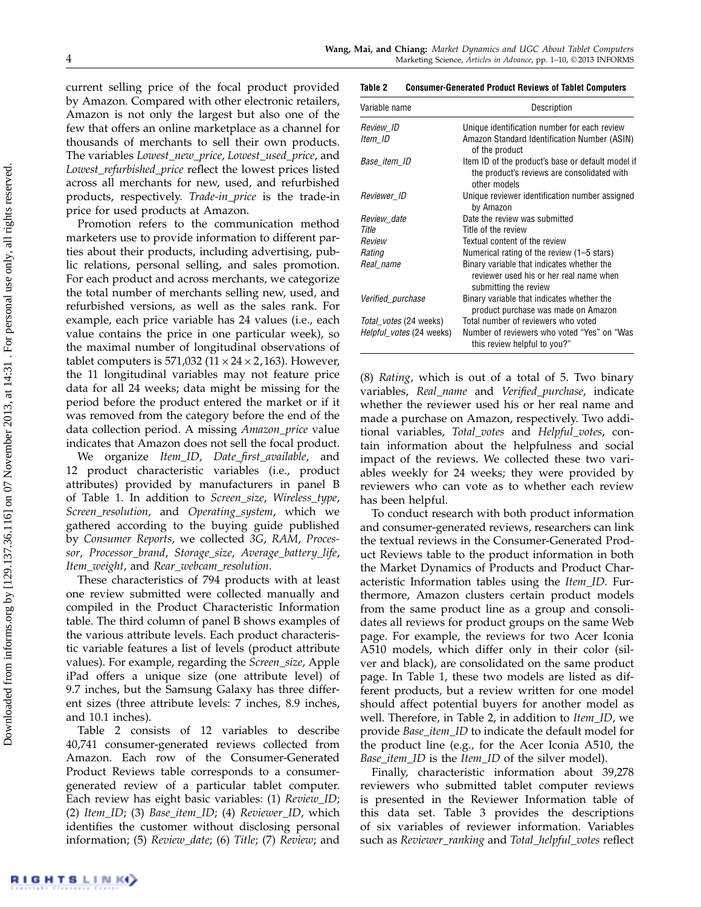current selling price of the focal product provided by Amazon. Compared with other electronic retailers, Amazon is not only the largest but also one of the few that offers an online marketplace as a channel for thousands of merchants to sell their own products. The variables Lowest\_new\_price, Lowest\_used\_price, and Lowest\_refurbished\_price reflect the lowest prices listed across all merchants for new, used, and refurbished products, respectively. Trade-in\_price is the trade-in price for used products at Amazon.

Promotion refers to the communication method marketers use to provide information to different parties about their products, including advertising, public relations, personal selling, and sales promotion. For each product and across merchants, we categorize the total number of merchants selling new, used, and refurbished versions, as well as the sales rank. For example, each price variable has 24 values (i.e., each value contains the price in one particular week), so the maximal number of longitudinal observations of tablet computers is 571,032 ( $11 \times 24 \times 2$ ,163). However, the 11 longitudinal variables may not feature price data for all 24 weeks; data might be missing for the period before the product entered the market or if it was removed from the category before the end of the data collection period. A missing Amazon\_price value indicates that Amazon does not sell the focal product.

We organize Item\_ID, Date\_first\_available, and 12 product characteristic variables (i.e., product attributes) provided by manufacturers in panel B of Table 1. In addition to Screen\_size, Wireless\_type, Screen\_resolution, and Operating\_system, which we gathered according to the buying guide published by Consumer Reports, we collected 3G, RAM, Processor, Processor\_brand, Storage\_size, Average\_battery\_life, Item\_weight, and Rear\_webcam\_resolution.

These characteristics of 794 products with at least one review submitted were collected manually and compiled in the Product Characteristic Information table. The third column of panel B shows examples of the various attribute levels. Each product characteristic variable features a list of levels (product attribute values). For example, regarding the Screen\_size, Apple iPad offers a unique size (one attribute level) of 9.7 inches, but the Samsung Galaxy has three different sizes (three attribute levels: 7 inches, 8.9 inches, and 10.1 inches).

Table 2 consists of 12 variables to describe 40,741 consumer-generated reviews collected from Amazon. Each row of the Consumer-Generated Product Reviews table corresponds to a consumergenerated review of a particular tablet computer. Each review has eight basic variables: (1) Review\_ID; (2) Item\_ID; (3) Base\_item\_ID; (4) Reviewer\_ID, which identifies the customer without disclosing personal information; (5) Review\_date; (6) Title; (7) Review; and

#### Table 2 Consumer-Generated Product Reviews of Tablet Computers

| Variable name            | Description                                                                                                      |
|--------------------------|------------------------------------------------------------------------------------------------------------------|
| Review ID                | Unique identification number for each review                                                                     |
| Item ID                  | Amazon Standard Identification Number (ASIN)<br>of the product                                                   |
| Base_item_ID             | Item ID of the product's base or default model if<br>the product's reviews are consolidated with<br>other models |
| Reviewer_ID              | Unique reviewer identification number assigned<br>by Amazon                                                      |
| Review_date              | Date the review was submitted                                                                                    |
| Title                    | Title of the review                                                                                              |
| Review                   | Textual content of the review                                                                                    |
| Rating                   | Numerical rating of the review (1–5 stars)                                                                       |
| Real name                | Binary variable that indicates whether the<br>reviewer used his or her real name when<br>submitting the review   |
| <i>Verified_purchase</i> | Binary variable that indicates whether the<br>product purchase was made on Amazon                                |
| Total_votes (24 weeks)   | Total number of reviewers who voted                                                                              |
| Helpful_votes (24 weeks) | Number of reviewers who voted "Yes" on "Was<br>this review helpful to you?"                                      |

(8) Rating, which is out of a total of 5. Two binary variables, Real\_name and Verified\_purchase, indicate whether the reviewer used his or her real name and made a purchase on Amazon, respectively. Two additional variables, Total\_votes and Helpful\_votes, contain information about the helpfulness and social impact of the reviews. We collected these two variables weekly for 24 weeks; they were provided by reviewers who can vote as to whether each review has been helpful.

To conduct research with both product information and consumer-generated reviews, researchers can link the textual reviews in the Consumer-Generated Product Reviews table to the product information in both the Market Dynamics of Products and Product Characteristic Information tables using the Item\_ID. Furthermore, Amazon clusters certain product models from the same product line as a group and consolidates all reviews for product groups on the same Web page. For example, the reviews for two Acer Iconia A510 models, which differ only in their color (silver and black), are consolidated on the same product page. In Table 1, these two models are listed as different products, but a review written for one model should affect potential buyers for another model as well. Therefore, in Table 2, in addition to Item\_ID, we provide Base\_item\_ID to indicate the default model for the product line (e.g., for the Acer Iconia A510, the Base\_item\_ID is the Item\_ID of the silver model).

Finally, characteristic information about 39,278 reviewers who submitted tablet computer reviews is presented in the Reviewer Information table of this data set. Table 3 provides the descriptions of six variables of reviewer information. Variables such as Reviewer\_ranking and Total\_helpful\_votes reflect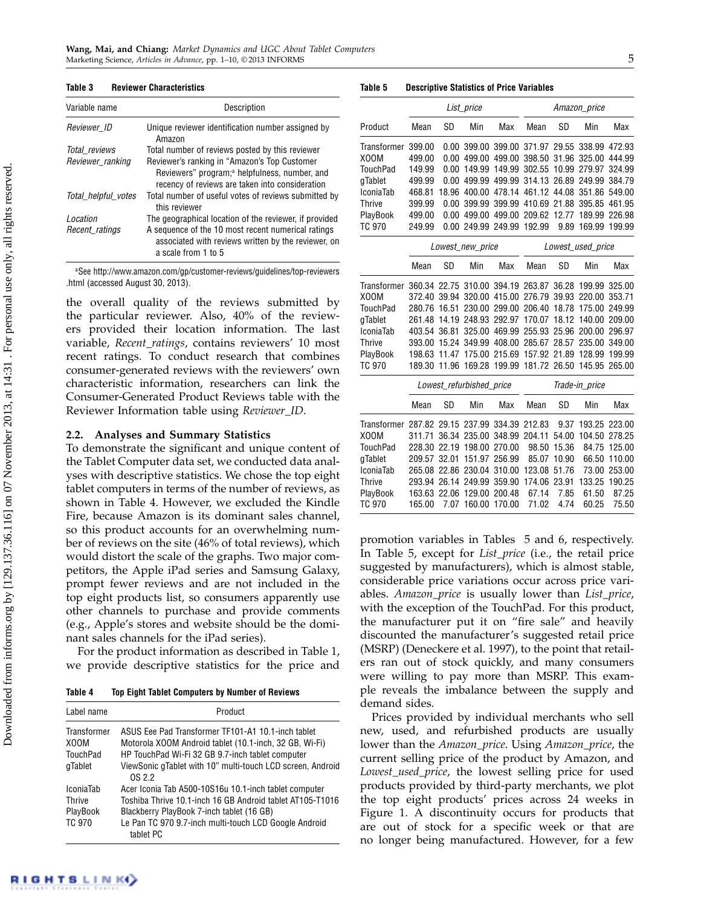#### Table 3 Reviewer Characteristics

| Variable name       | Description                                                                                                                                                  |
|---------------------|--------------------------------------------------------------------------------------------------------------------------------------------------------------|
| Reviewer ID         | Unique reviewer identification number assigned by<br>Amazon                                                                                                  |
| Total reviews       | Total number of reviews posted by this reviewer                                                                                                              |
| Reviewer ranking    | Reviewer's ranking in "Amazon's Top Customer<br>Reviewers" program; <sup>a</sup> helpfulness, number, and<br>recency of reviews are taken into consideration |
| Total helpful votes | Total number of useful votes of reviews submitted by<br>this reviewer                                                                                        |
| Location            | The geographical location of the reviewer, if provided                                                                                                       |
| Recent ratings      | A sequence of the 10 most recent numerical ratings<br>associated with reviews written by the reviewer, on<br>a scale from 1 to 5                             |

<sup>a</sup>See http://www.amazon.com/gp/customer-reviews/guidelines/top-reviewers .html (accessed August 30, 2013).

the overall quality of the reviews submitted by the particular reviewer. Also, 40% of the reviewers provided their location information. The last variable, Recent\_ratings, contains reviewers' 10 most recent ratings. To conduct research that combines consumer-generated reviews with the reviewers' own characteristic information, researchers can link the Consumer-Generated Product Reviews table with the Reviewer Information table using Reviewer\_ID.

#### Analyses and Summary Statistics

To demonstrate the significant and unique content of the Tablet Computer data set, we conducted data analyses with descriptive statistics. We chose the top eight tablet computers in terms of the number of reviews, as shown in Table 4. However, we excluded the Kindle Fire, because Amazon is its dominant sales channel, so this product accounts for an overwhelming number of reviews on the site (46% of total reviews), which would distort the scale of the graphs. Two major competitors, the Apple iPad series and Samsung Galaxy, prompt fewer reviews and are not included in the top eight products list, so consumers apparently use other channels to purchase and provide comments (e.g., Apple's stores and website should be the dominant sales channels for the iPad series).

For the product information as described in Table 1, we provide descriptive statistics for the price and

Table 4 Top Eight Tablet Computers by Number of Reviews

| Label name                                              | Product                                                                                                                                                                                                                               |
|---------------------------------------------------------|---------------------------------------------------------------------------------------------------------------------------------------------------------------------------------------------------------------------------------------|
| <b>Transformer</b><br>X00M                              | ASUS Eee Pad Transformer TF101-A1 10.1-inch tablet<br>Motorola XOOM Android tablet (10.1-inch, 32 GB, Wi-Fi)                                                                                                                          |
| TouchPad<br>gTablet                                     | HP TouchPad Wi-Fi 32 GB 9.7-inch tablet computer<br>ViewSonic gTablet with 10" multi-touch LCD screen, Android<br>OS 2.2                                                                                                              |
| <b>IconiaTab</b><br><b>Thrive</b><br>PlayBook<br>TC 970 | Acer Iconia Tab A500-10S16u 10.1-inch tablet computer<br>Toshiba Thrive 10.1-inch 16 GB Android tablet AT105-T1016<br>Blackberry PlayBook 7-inch tablet (16 GB)<br>Le Pan TC 970 9.7-inch multi-touch LCD Google Android<br>tablet PC |

RIGHTSLINK)

Table 5 Descriptive Statistics of Price Variables

|                                                            |        |           | List_price                                    |            |                | Amazon_price |                   |        |  |
|------------------------------------------------------------|--------|-----------|-----------------------------------------------|------------|----------------|--------------|-------------------|--------|--|
| Product                                                    | Mean   | SD        | Min                                           | <b>Max</b> | Mean           | SD           | Min               | Max    |  |
| Transformer                                                | 399.00 |           | 0.00 399.00 399.00 371.97 29.55 338.99 472.93 |            |                |              |                   |        |  |
| X00M                                                       | 499.00 | 0.00      | 499.00                                        | 499.00     | 398.50         | 31.96        | 325.00            | 444.99 |  |
| <b>TouchPad</b>                                            | 149.99 | 0.00      | 149.99                                        | 149.99     | 302.55         | 10.99        | 279.97            | 324.99 |  |
| gTablet                                                    | 499.99 | 0.00      | 499.99                                        | 499.99     | 314.13         | 26.89        | 249.99            | 384.79 |  |
| IconiaTab                                                  | 468.81 | 18.96     | 400.00                                        | 478.14     | 461.12         | 44.08        | 351.86            | 549.00 |  |
| <b>Thrive</b>                                              | 399.99 | 0.00      | 399.99                                        | 399.99     | 410.69         | 21.88        | 395.85            | 461.95 |  |
| PlayBook                                                   | 499.00 | 0.00      | 499.00                                        | 499.00     | 209.62         | 12.77        | 189.99            | 226.98 |  |
| <b>TC 970</b>                                              | 249.99 |           | 0.00 249.99                                   | 249.99     | 192.99         | 9.89         | 169.99            | 199.99 |  |
|                                                            |        |           | Lowest_new_price                              |            |                |              | Lowest_used_price |        |  |
|                                                            | Mean   | SD        | Min                                           | Max        | Mean           | SD           | Min               | Max    |  |
| Transformer 360.34 22.75 310.00 394.19 263.87 36.28 199.99 |        |           |                                               |            |                |              |                   | 325.00 |  |
| X00M                                                       | 372.40 | 39.94     | 320.00                                        | 415.00     | 276.79         | 39.93        | 220.00            | 353.71 |  |
| <b>TouchPad</b>                                            | 280.76 | 16.51     | 230.00                                        | 299.00     | 206.40         | 18.78        | 175.00            | 249.99 |  |
| gTablet                                                    | 261.48 | 14.19     | 248.93                                        | 292.97     | 170.07         | 18.12        | 140.00            | 209.00 |  |
| IconiaTab                                                  | 403.54 | 36.81     | 325.00                                        | 469.99     | 255.93         | 25.96        | 200.00            | 296.97 |  |
| <b>Thrive</b>                                              | 393.00 | 15.24     | 349.99                                        | 408.00     | 285.67         | 28.57        | 235.00            | 349.00 |  |
| PlayBook                                                   | 198.63 | 11.47     | 175.00                                        | 215.69     | 157.92         | 21.89        | 128.99            | 199.99 |  |
| <b>TC 970</b>                                              | 189.30 | 11.96     | 169.28                                        | 199.99     | 181.72         | 26.50        | 145.95            | 265.00 |  |
|                                                            |        |           | Lowest_refurbished_price                      |            | Trade-in_price |              |                   |        |  |
|                                                            | Mean   | <b>SD</b> | Min                                           | <b>Max</b> | Mean           | <b>SD</b>    | Min               | Max    |  |
| <b>Transformer</b>                                         | 287.82 |           | 29.15 237.99                                  | 334.39     | 212.83         | 9.37         | 193.25            | 223.00 |  |
| X00M                                                       | 311.71 | 36.34     | 235.00                                        | 348.99     | 204.11         | 54.00        | 104.50            | 278.25 |  |
| TouchPad                                                   | 228.30 | 22.19     | 198.00                                        | 270.00     | 98.50          | 15.36        | 84.75             | 125.00 |  |
| gTablet                                                    | 209.57 | 32.01     | 151.97                                        | 256.99     | 85.07          | 10.90        | 66.50             | 110.00 |  |
| IconiaTab                                                  | 265.08 | 22.86     | 230.04                                        | 310.00     | 123.08         | 51.76        | 73.00             | 253.00 |  |
| <b>Thrive</b>                                              | 293.94 | 26.14     | 249.99                                        | 359.90     | 174.06         | 23.91        | 133.25            | 190.25 |  |
| PlayBook                                                   | 163.63 | 22.06     | 129.00                                        | 200.48     | 67.14          | 7.85         | 61.50             | 87.25  |  |
| <b>TC 970</b>                                              | 165.00 |           | 7.07 160.00                                   | 170.00     | 71.02          | 4.74         | 60.25             | 75.50  |  |

promotion variables in Tables 5 and 6, respectively. In Table 5, except for List\_price (i.e., the retail price suggested by manufacturers), which is almost stable, considerable price variations occur across price variables. Amazon\_price is usually lower than List\_price, with the exception of the TouchPad. For this product, the manufacturer put it on "fire sale" and heavily discounted the manufacturer's suggested retail price (MSRP) (Deneckere et al. 1997), to the point that retailers ran out of stock quickly, and many consumers were willing to pay more than MSRP. This example reveals the imbalance between the supply and demand sides.

Prices provided by individual merchants who sell new, used, and refurbished products are usually lower than the Amazon\_price. Using Amazon\_price, the current selling price of the product by Amazon, and Lowest\_used\_price, the lowest selling price for used products provided by third-party merchants, we plot the top eight products' prices across 24 weeks in Figure 1. A discontinuity occurs for products that are out of stock for a specific week or that are no longer being manufactured. However, for a few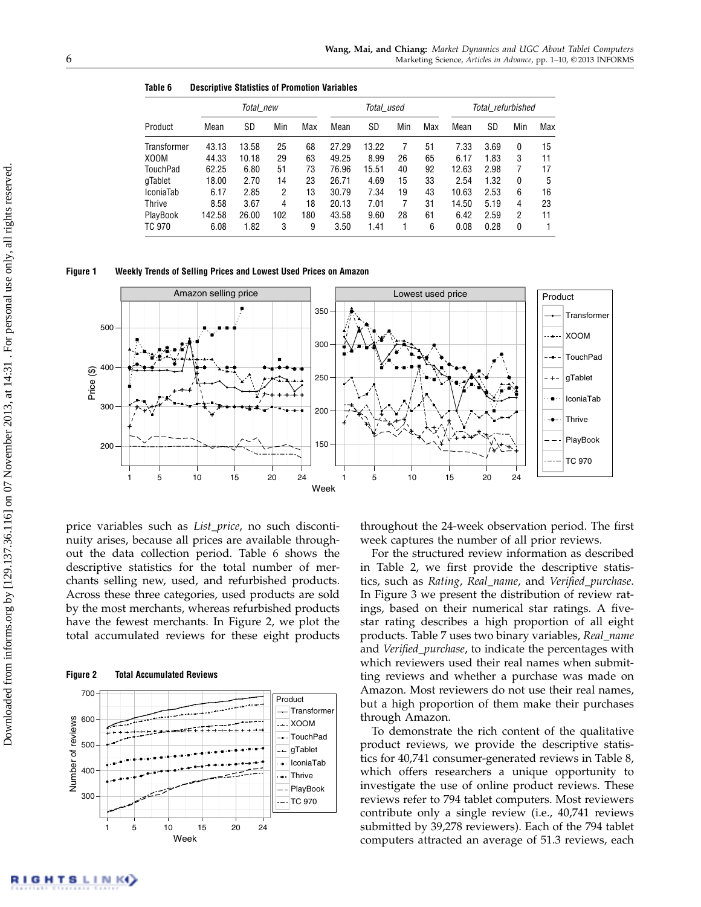| Table 6 |  | <b>Descriptive Statistics of Promotion Variables</b> |  |
|---------|--|------------------------------------------------------|--|
|         |  |                                                      |  |

|                    | Total new |       |     | Total used |       |       | Total refurbished |     |       |      |                |     |
|--------------------|-----------|-------|-----|------------|-------|-------|-------------------|-----|-------|------|----------------|-----|
| Product            | Mean      | SD    | Min | Max        | Mean  | SD    | Min               | Max | Mean  | SD   | Min            | Max |
| <b>Transformer</b> | 43.13     | 13.58 | 25  | 68         | 27.29 | 13.22 |                   | 51  | 7.33  | 3.69 | 0              | 15  |
| X00M               | 44.33     | 10.18 | 29  | 63         | 49.25 | 8.99  | 26                | 65  | 6.17  | 1.83 | 3              | 11  |
| TouchPad           | 62.25     | 6.80  | 51  | 73         | 76.96 | 15.51 | 40                | 92  | 12.63 | 2.98 | 7              | 17  |
| gTablet            | 18.00     | 2.70  | 14  | 23         | 26.71 | 4.69  | 15                | 33  | 2.54  | 1.32 | 0              | 5   |
| <b>IconiaTab</b>   | 6.17      | 2.85  | 2   | 13         | 30.79 | 7.34  | 19                | 43  | 10.63 | 2.53 | 6              | 16  |
| <b>Thrive</b>      | 8.58      | 3.67  | 4   | 18         | 20.13 | 7.01  |                   | 31  | 14.50 | 5.19 | 4              | 23  |
| PlayBook           | 142.58    | 26.00 | 102 | 180        | 43.58 | 9.60  | 28                | 61  | 6.42  | 2.59 | $\overline{2}$ | 11  |
| <b>TC 970</b>      | 6.08      | 1.82  | 3   | 9          | 3.50  | 1.41  |                   | 6   | 0.08  | 0.28 | 0              |     |

#### Figure 1 Weekly Trends of Selling Prices and Lowest Used Prices on Amazon



price variables such as List\_price, no such discontinuity arises, because all prices are available throughout the data collection period. Table 6 shows the descriptive statistics for the total number of merchants selling new, used, and refurbished products. Across these three categories, used products are sold by the most merchants, whereas refurbished products have the fewest merchants. In Figure 2, we plot the total accumulated reviews for these eight products

Figure 2 Total Accumulated Reviews



throughout the 24-week observation period. The first week captures the number of all prior reviews.

For the structured review information as described in Table 2, we first provide the descriptive statistics, such as Rating, Real\_name, and Verified\_purchase. In Figure 3 we present the distribution of review ratings, based on their numerical star ratings. A fivestar rating describes a high proportion of all eight products. Table 7 uses two binary variables, Real\_name and Verified\_purchase, to indicate the percentages with which reviewers used their real names when submitting reviews and whether a purchase was made on Amazon. Most reviewers do not use their real names, but a high proportion of them make their purchases through Amazon.

To demonstrate the rich content of the qualitative product reviews, we provide the descriptive statistics for 40,741 consumer-generated reviews in Table 8, which offers researchers a unique opportunity to investigate the use of online product reviews. These reviews refer to 794 tablet computers. Most reviewers contribute only a single review (i.e., 40,741 reviews submitted by 39,278 reviewers). Each of the 794 tablet computers attracted an average of 51.3 reviews, each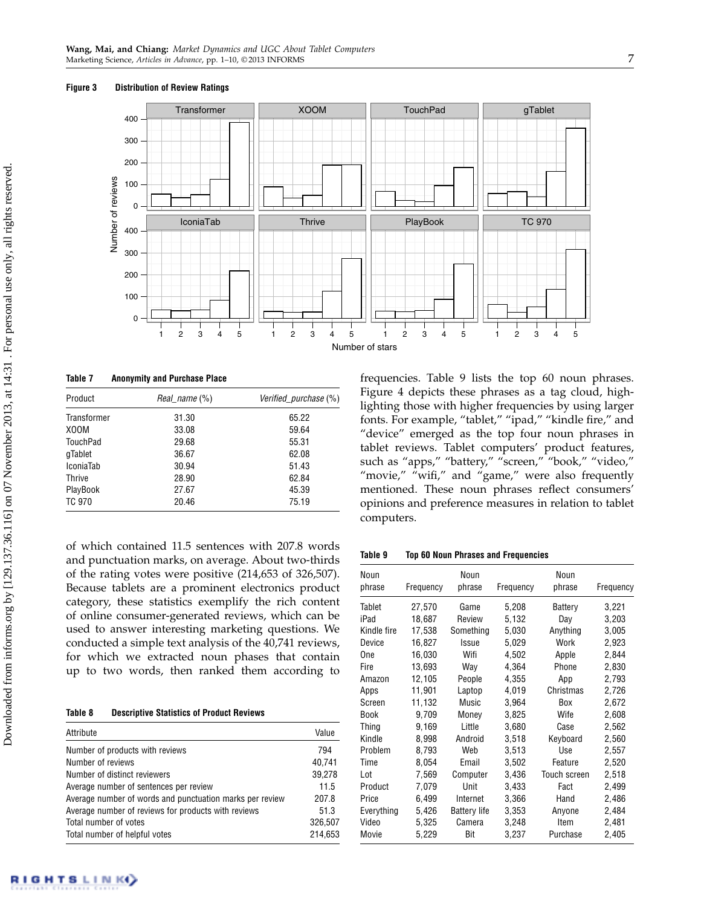

Table 7 Anonymity and Purchase Place

| Product            | Real name (%) | Verified purchase (%) |  |  |
|--------------------|---------------|-----------------------|--|--|
| <b>Transformer</b> | 31.30         | 65.22                 |  |  |
| X00M               | 33.08         | 59.64                 |  |  |
| TouchPad           | 29.68         | 55.31                 |  |  |
| gTablet            | 36.67         | 62.08                 |  |  |
| <b>IconiaTab</b>   | 30.94         | 51.43                 |  |  |
| <b>Thrive</b>      | 28.90         | 62.84                 |  |  |
| PlayBook           | 27.67         | 45.39                 |  |  |
| <b>TC 970</b>      | 20.46         | 75.19                 |  |  |

of which contained 11.5 sentences with 207.8 words and punctuation marks, on average. About two-thirds of the rating votes were positive (214,653 of 326,507). Because tablets are a prominent electronics product category, these statistics exemplify the rich content of online consumer-generated reviews, which can be used to answer interesting marketing questions. We conducted a simple text analysis of the 40,741 reviews, for which we extracted noun phases that contain up to two words, then ranked them according to

Table 8 Descriptive Statistics of Product Reviews

| Attribute                                                | Value   |
|----------------------------------------------------------|---------|
| Number of products with reviews                          | 794     |
| Number of reviews                                        | 40,741  |
| Number of distinct reviewers                             | 39,278  |
| Average number of sentences per review                   | 11.5    |
| Average number of words and punctuation marks per review | 207.8   |
| Average number of reviews for products with reviews      | 51.3    |
| Total number of votes                                    | 326,507 |
| Total number of helpful votes                            | 214.653 |

frequencies. Table 9 lists the top 60 noun phrases. Figure 4 depicts these phrases as a tag cloud, highlighting those with higher frequencies by using larger fonts. For example, "tablet," "ipad," "kindle fire," and "device" emerged as the top four noun phrases in tablet reviews. Tablet computers' product features, such as "apps," "battery," "screen," "book," "video," "movie," "wifi," and "game," were also frequently mentioned. These noun phrases reflect consumers' opinions and preference measures in relation to tablet computers.

Table 9 Top 60 Noun Phrases and Frequencies

| Noun<br>phrase | Frequency | Noun<br>phrase      | Frequency | Noun<br>phrase      | Frequency |
|----------------|-----------|---------------------|-----------|---------------------|-----------|
| Tablet         | 27,570    | Game                | 5,208     | Battery             | 3,221     |
| iPad           | 18,687    | Review              | 5,132     | Day                 | 3,203     |
| Kindle fire    | 17,538    | Something           | 5,030     | Anything            | 3,005     |
| Device         | 16,827    | Issue               | 5,029     | Work                | 2,923     |
| One            | 16,030    | Wifi                | 4,502     | Apple               | 2,844     |
| Fire           | 13,693    | Way                 | 4,364     | Phone               | 2,830     |
| Amazon         | 12,105    | People              | 4,355     | App                 | 2,793     |
| Apps           | 11,901    | Laptop              | 4,019     | Christmas           | 2,726     |
| Screen         | 11,132    | Music               | 3,964     | Box                 | 2,672     |
| Book           | 9,709     | Money               | 3,825     | Wife                | 2,608     |
| Thing          | 9,169     | Little              | 3,680     | Case                | 2,562     |
| Kindle         | 8,998     | Android             | 3,518     | Keyboard            | 2,560     |
| Problem        | 8,793     | Web                 | 3,513     | Use                 | 2,557     |
| Time           | 8,054     | Email               | 3,502     | Feature             | 2,520     |
| Lot            | 7,569     | Computer            | 3,436     | <b>Touch screen</b> | 2,518     |
| Product        | 7,079     | Unit                | 3,433     | Fact                | 2,499     |
| Price          | 6,499     | Internet            | 3,366     | Hand                | 2,486     |
| Everything     | 5,426     | <b>Battery life</b> | 3,353     | Anvone              | 2,484     |
| Video          | 5,325     | Camera              | 3,248     | ltem                | 2,481     |
| Movie          | 5,229     | Bit                 | 3,237     | Purchase            | 2,405     |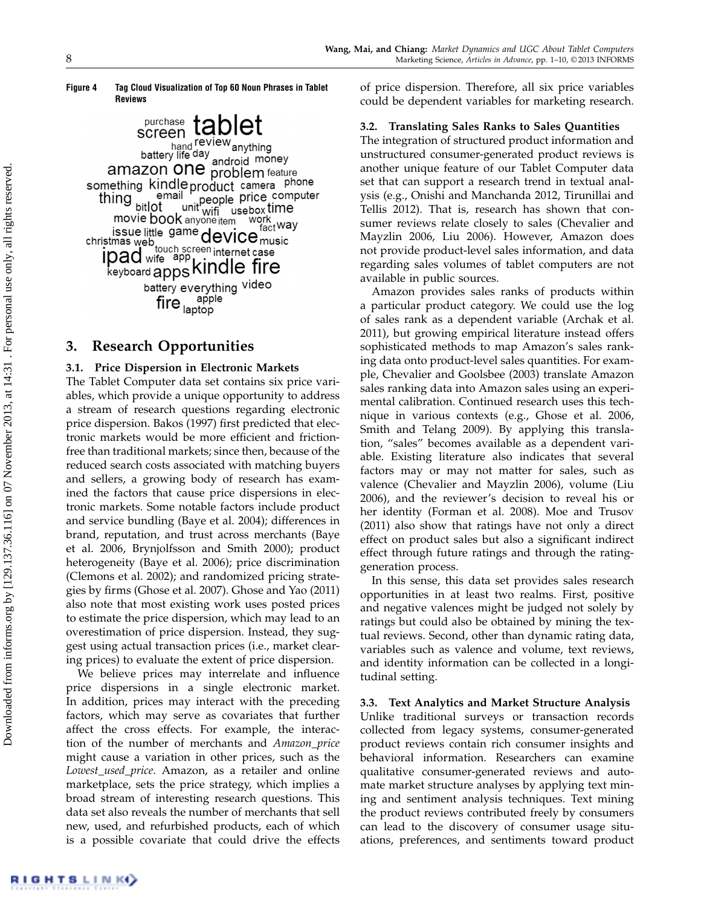#### Figure 4 Tag Cloud Visualization of Top 60 Noun Phrases in Tablet Reviews

screen tablet bor COTT<br>hand review anything<br>battery life day android money amazon one problem feature something kindle product camera phone il product cance computer<br>unit with use box time<br>sensitive work thing email bitlot movie book anyone item work issue little game device music<br>mas web. ssue little game device music<br>
ipad wife app kindle fire<br>
keyboard apps kindle fire battery everything video fire app apple

## 3. Research Opportunities

## 3.1. Price Dispersion in Electronic Markets

The Tablet Computer data set contains six price variables, which provide a unique opportunity to address a stream of research questions regarding electronic price dispersion. Bakos (1997) first predicted that electronic markets would be more efficient and frictionfree than traditional markets; since then, because of the reduced search costs associated with matching buyers and sellers, a growing body of research has examined the factors that cause price dispersions in electronic markets. Some notable factors include product and service bundling (Baye et al. 2004); differences in brand, reputation, and trust across merchants (Baye et al. 2006, Brynjolfsson and Smith 2000); product heterogeneity (Baye et al. 2006); price discrimination (Clemons et al. 2002); and randomized pricing strategies by firms (Ghose et al. 2007). Ghose and Yao (2011) also note that most existing work uses posted prices to estimate the price dispersion, which may lead to an overestimation of price dispersion. Instead, they suggest using actual transaction prices (i.e., market clearing prices) to evaluate the extent of price dispersion.

We believe prices may interrelate and influence price dispersions in a single electronic market. In addition, prices may interact with the preceding factors, which may serve as covariates that further affect the cross effects. For example, the interaction of the number of merchants and Amazon\_price might cause a variation in other prices, such as the Lowest\_used\_price. Amazon, as a retailer and online marketplace, sets the price strategy, which implies a broad stream of interesting research questions. This data set also reveals the number of merchants that sell new, used, and refurbished products, each of which is a possible covariate that could drive the effects of price dispersion. Therefore, all six price variables could be dependent variables for marketing research.

## 3.2. Translating Sales Ranks to Sales Quantities

The integration of structured product information and unstructured consumer-generated product reviews is another unique feature of our Tablet Computer data set that can support a research trend in textual analysis (e.g., Onishi and Manchanda 2012, Tirunillai and Tellis 2012). That is, research has shown that consumer reviews relate closely to sales (Chevalier and Mayzlin 2006, Liu 2006). However, Amazon does not provide product-level sales information, and data regarding sales volumes of tablet computers are not available in public sources.

Amazon provides sales ranks of products within a particular product category. We could use the log of sales rank as a dependent variable (Archak et al. 2011), but growing empirical literature instead offers sophisticated methods to map Amazon's sales ranking data onto product-level sales quantities. For example, Chevalier and Goolsbee (2003) translate Amazon sales ranking data into Amazon sales using an experimental calibration. Continued research uses this technique in various contexts (e.g., Ghose et al. 2006, Smith and Telang 2009). By applying this translation, "sales" becomes available as a dependent variable. Existing literature also indicates that several factors may or may not matter for sales, such as valence (Chevalier and Mayzlin 2006), volume (Liu 2006), and the reviewer's decision to reveal his or her identity (Forman et al. 2008). Moe and Trusov (2011) also show that ratings have not only a direct effect on product sales but also a significant indirect effect through future ratings and through the ratinggeneration process.

In this sense, this data set provides sales research opportunities in at least two realms. First, positive and negative valences might be judged not solely by ratings but could also be obtained by mining the textual reviews. Second, other than dynamic rating data, variables such as valence and volume, text reviews, and identity information can be collected in a longitudinal setting.

3.3. Text Analytics and Market Structure Analysis Unlike traditional surveys or transaction records collected from legacy systems, consumer-generated product reviews contain rich consumer insights and behavioral information. Researchers can examine qualitative consumer-generated reviews and automate market structure analyses by applying text mining and sentiment analysis techniques. Text mining the product reviews contributed freely by consumers can lead to the discovery of consumer usage situations, preferences, and sentiments toward product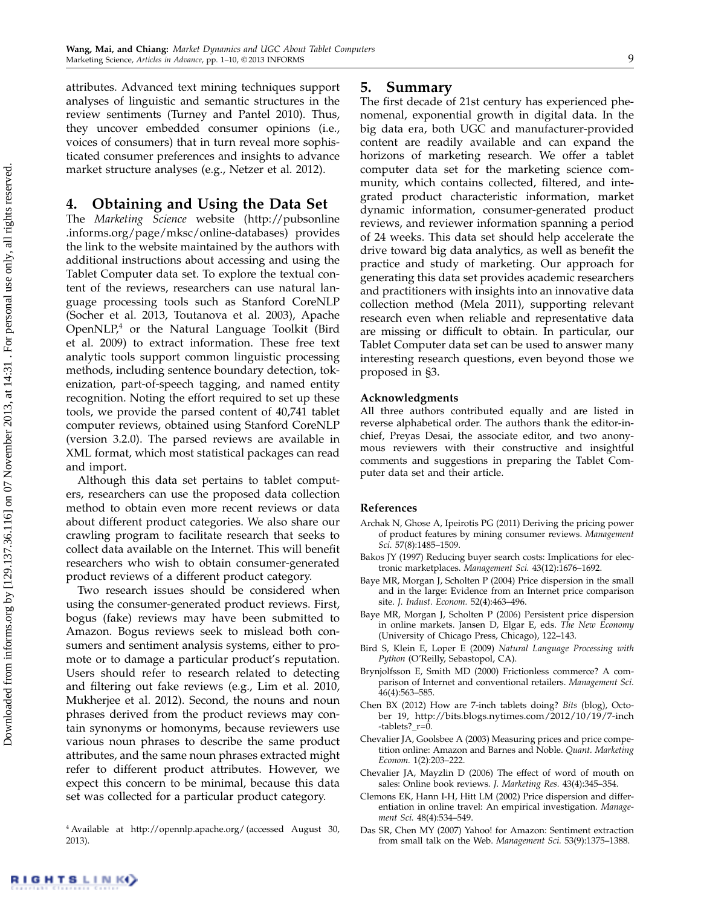attributes. Advanced text mining techniques support analyses of linguistic and semantic structures in the review sentiments (Turney and Pantel 2010). Thus, they uncover embedded consumer opinions (i.e., voices of consumers) that in turn reveal more sophisticated consumer preferences and insights to advance market structure analyses (e.g., Netzer et al. 2012).

## 4. Obtaining and Using the Data Set

The Marketing Science website (http://pubsonline .informs.org/page/mksc/online-databases) provides the link to the website maintained by the authors with additional instructions about accessing and using the Tablet Computer data set. To explore the textual content of the reviews, researchers can use natural language processing tools such as Stanford CoreNLP (Socher et al. 2013, Toutanova et al. 2003), Apache OpenNLP,<sup>4</sup> or the Natural Language Toolkit (Bird et al. 2009) to extract information. These free text analytic tools support common linguistic processing methods, including sentence boundary detection, tokenization, part-of-speech tagging, and named entity recognition. Noting the effort required to set up these tools, we provide the parsed content of 40,741 tablet computer reviews, obtained using Stanford CoreNLP (version 3.2.0). The parsed reviews are available in XML format, which most statistical packages can read and import.

Although this data set pertains to tablet computers, researchers can use the proposed data collection method to obtain even more recent reviews or data about different product categories. We also share our crawling program to facilitate research that seeks to collect data available on the Internet. This will benefit researchers who wish to obtain consumer-generated product reviews of a different product category.

Two research issues should be considered when using the consumer-generated product reviews. First, bogus (fake) reviews may have been submitted to Amazon. Bogus reviews seek to mislead both consumers and sentiment analysis systems, either to promote or to damage a particular product's reputation. Users should refer to research related to detecting and filtering out fake reviews (e.g., Lim et al. 2010, Mukherjee et al. 2012). Second, the nouns and noun phrases derived from the product reviews may contain synonyms or homonyms, because reviewers use various noun phrases to describe the same product attributes, and the same noun phrases extracted might refer to different product attributes. However, we expect this concern to be minimal, because this data set was collected for a particular product category.

#### <sup>4</sup> Available at http://opennlp.apache.org/ (accessed August 30, 2013).

## 5. Summary

The first decade of 21st century has experienced phenomenal, exponential growth in digital data. In the big data era, both UGC and manufacturer-provided content are readily available and can expand the horizons of marketing research. We offer a tablet computer data set for the marketing science community, which contains collected, filtered, and integrated product characteristic information, market dynamic information, consumer-generated product reviews, and reviewer information spanning a period of 24 weeks. This data set should help accelerate the drive toward big data analytics, as well as benefit the practice and study of marketing. Our approach for generating this data set provides academic researchers and practitioners with insights into an innovative data collection method (Mela 2011), supporting relevant research even when reliable and representative data are missing or difficult to obtain. In particular, our Tablet Computer data set can be used to answer many interesting research questions, even beyond those we proposed in §3.

#### Acknowledgments

All three authors contributed equally and are listed in reverse alphabetical order. The authors thank the editor-inchief, Preyas Desai, the associate editor, and two anonymous reviewers with their constructive and insightful comments and suggestions in preparing the Tablet Computer data set and their article.

## References

- Archak N, Ghose A, Ipeirotis PG (2011) Deriving the pricing power of product features by mining consumer reviews. Management Sci. 57(8):1485–1509.
- Bakos JY (1997) Reducing buyer search costs: Implications for electronic marketplaces. Management Sci. 43(12):1676–1692.
- Baye MR, Morgan J, Scholten P (2004) Price dispersion in the small and in the large: Evidence from an Internet price comparison site. J. Indust. Econom. 52(4):463–496.
- Baye MR, Morgan J, Scholten P (2006) Persistent price dispersion in online markets. Jansen D, Elgar E, eds. The New Economy (University of Chicago Press, Chicago), 122–143.
- Bird S, Klein E, Loper E (2009) Natural Language Processing with Python (O'Reilly, Sebastopol, CA).
- Brynjolfsson E, Smith MD (2000) Frictionless commerce? A comparison of Internet and conventional retailers. Management Sci. 46(4):563–585.
- Chen BX (2012) How are 7-inch tablets doing? Bits (blog), October 19, http://bits.blogs.nytimes.com/2012/10/19/7-inch -tablets?\_r=0.
- Chevalier JA, Goolsbee A (2003) Measuring prices and price competition online: Amazon and Barnes and Noble. Quant. Marketing Econom. 1(2):203–222.
- Chevalier JA, Mayzlin D (2006) The effect of word of mouth on sales: Online book reviews. J. Marketing Res. 43(4):345–354.
- Clemons EK, Hann I-H, Hitt LM (2002) Price dispersion and differentiation in online travel: An empirical investigation. Management Sci. 48(4):534–549.
- Das SR, Chen MY (2007) Yahoo! for Amazon: Sentiment extraction from small talk on the Web. Management Sci. 53(9):1375–1388.